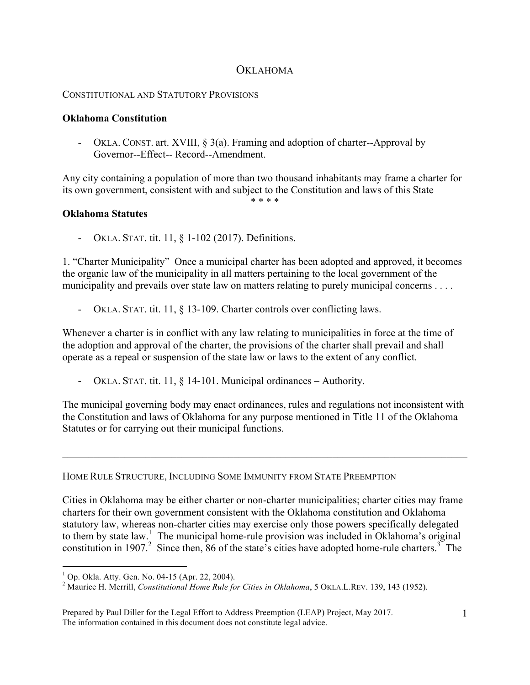## **OKLAHOMA**

## CONSTITUTIONAL AND STATUTORY PROVISIONS

## **Oklahoma Constitution**

- OKLA. CONST. art. XVIII, § 3(a). Framing and adoption of charter--Approval by Governor--Effect-- Record--Amendment.

Any city containing a population of more than two thousand inhabitants may frame a charter for its own government, consistent with and subject to the Constitution and laws of this State \* \* \* \*

## **Oklahoma Statutes**

OKLA. STAT. tit. 11, § 1-102 (2017). Definitions.

1. "Charter Municipality" Once a municipal charter has been adopted and approved, it becomes the organic law of the municipality in all matters pertaining to the local government of the municipality and prevails over state law on matters relating to purely municipal concerns . . . .

OKLA. STAT. tit. 11, § 13-109. Charter controls over conflicting laws.

Whenever a charter is in conflict with any law relating to municipalities in force at the time of the adoption and approval of the charter, the provisions of the charter shall prevail and shall operate as a repeal or suspension of the state law or laws to the extent of any conflict.

- OKLA. STAT. tit. 11, § 14-101. Municipal ordinances – Authority.

The municipal governing body may enact ordinances, rules and regulations not inconsistent with the Constitution and laws of Oklahoma for any purpose mentioned in Title 11 of the Oklahoma Statutes or for carrying out their municipal functions.

 $\mathcal{L}_\mathcal{L} = \{ \mathcal{L}_\mathcal{L} = \{ \mathcal{L}_\mathcal{L} = \{ \mathcal{L}_\mathcal{L} = \{ \mathcal{L}_\mathcal{L} = \{ \mathcal{L}_\mathcal{L} = \{ \mathcal{L}_\mathcal{L} = \{ \mathcal{L}_\mathcal{L} = \{ \mathcal{L}_\mathcal{L} = \{ \mathcal{L}_\mathcal{L} = \{ \mathcal{L}_\mathcal{L} = \{ \mathcal{L}_\mathcal{L} = \{ \mathcal{L}_\mathcal{L} = \{ \mathcal{L}_\mathcal{L} = \{ \mathcal{L}_\mathcal{$ 

HOME RULE STRUCTURE, INCLUDING SOME IMMUNITY FROM STATE PREEMPTION

Cities in Oklahoma may be either charter or non-charter municipalities; charter cities may frame charters for their own government consistent with the Oklahoma constitution and Oklahoma statutory law, whereas non-charter cities may exercise only those powers specifically delegated to them by state law. <sup>1</sup> The municipal home-rule provision was included in Oklahoma's original constitution in 1907.<sup>2</sup> Since then, 86 of the state's cities have adopted home-rule charters.<sup>3</sup> The

 $\frac{1}{1}$ 

<sup>&</sup>lt;sup>1</sup> Op. Okla. Atty. Gen. No. 04-15 (Apr. 22, 2004).<br><sup>2</sup> Maurice H. Merrill, *Constitutional Home Rule for Cities in Oklahoma*, 5 OKLA.L.REV. 139, 143 (1952).

Prepared by Paul Diller for the Legal Effort to Address Preemption (LEAP) Project, May 2017. The information contained in this document does not constitute legal advice.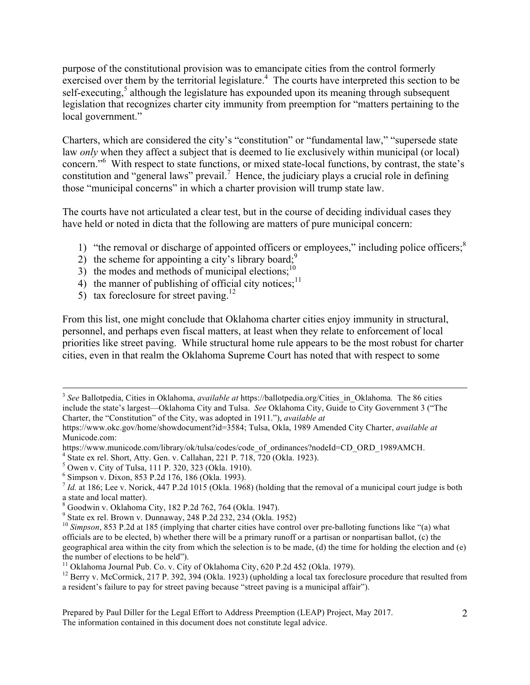purpose of the constitutional provision was to emancipate cities from the control formerly exercised over them by the territorial legislature.<sup>4</sup> The courts have interpreted this section to be self-executing,<sup>5</sup> although the legislature has expounded upon its meaning through subsequent legislation that recognizes charter city immunity from preemption for "matters pertaining to the local government."

Charters, which are considered the city's "constitution" or "fundamental law," "supersede state law *only* when they affect a subject that is deemed to lie exclusively within municipal (or local) concern."<sup>6</sup> With respect to state functions, or mixed state-local functions, by contrast, the state's constitution and "general laws" prevail.<sup>7</sup> Hence, the judiciary plays a crucial role in defining those "municipal concerns" in which a charter provision will trump state law.

The courts have not articulated a clear test, but in the course of deciding individual cases they have held or noted in dicta that the following are matters of pure municipal concern:

- 1) "the removal or discharge of appointed officers or employees," including police officers;<sup>8</sup>
- 2) the scheme for appointing a city's library board;<sup>9</sup>
- $3)$  the modes and methods of municipal elections;<sup>10</sup>
- 4) the manner of publishing of official city notices;<sup>11</sup>
- 5) tax foreclosure for street paving.<sup>12</sup>

From this list, one might conclude that Oklahoma charter cities enjoy immunity in structural, personnel, and perhaps even fiscal matters, at least when they relate to enforcement of local priorities like street paving. While structural home rule appears to be the most robust for charter cities, even in that realm the Oklahoma Supreme Court has noted that with respect to some

Prepared by Paul Diller for the Legal Effort to Address Preemption (LEAP) Project, May 2017. The information contained in this document does not constitute legal advice.

<sup>&</sup>lt;sup>3</sup> See Ballotpedia, Cities in Oklahoma, *available at* https://ballotpedia.org/Cities in Oklahoma. The 86 cities include the state's largest—Oklahoma City and Tulsa. *See* Oklahoma City, Guide to City Government 3 ("The Charter, the "Constitution" of the City, was adopted in 1911."), *available at*

https://www.okc.gov/home/showdocument?id=3584; Tulsa, Okla, 1989 Amended City Charter, *available at* Municode.com:

https://www.municode.com/library/ok/tulsa/codes/code\_of\_ordinances?nodeId=CD\_ORD\_1989AMCH.

 $4 \text{ State ex rel. Short, Atty.}$  Gen. v. Callahan, 221 P. 718, 720 (Okla. 1923).

<sup>5</sup> Owen v. City of Tulsa, 111 P. 320, 323 (Okla. 1910).

<sup>6</sup> Simpson v. Dixon, 853 P.2d 176, 186 (Okla. 1993).

 $^7$  *Id.* at 186; Lee v. Norick, 447 P.2d 1015 (Okla. 1968) (holding that the removal of a municipal court judge is both a state and local matter).

<sup>8</sup> Goodwin v. Oklahoma City, 182 P.2d 762, 764 (Okla. 1947).

<sup>9</sup> State ex rel. Brown v. Dunnaway, 248 P.2d 232, 234 (Okla. 1952)

<sup>&</sup>lt;sup>10</sup> *Simpson*, 853 P.2d at 185 (implying that charter cities have control over pre-balloting functions like "(a) what officials are to be elected, b) whether there will be a primary runoff or a partisan or nonpartisan ballot, (c) the geographical area within the city from which the selection is to be made, (d) the time for holding the election and (e) the number of elections to be held").<br><sup>11</sup> Oklahoma Journal Pub. Co. v. City of Oklahoma City, 620 P.2d 452 (Okla. 1979).<br><sup>12</sup> Berry v. McCormick, 217 P. 392, 394 (Okla. 1923) (upholding a local tax foreclosure procedure t

a resident's failure to pay for street paving because "street paving is a municipal affair").